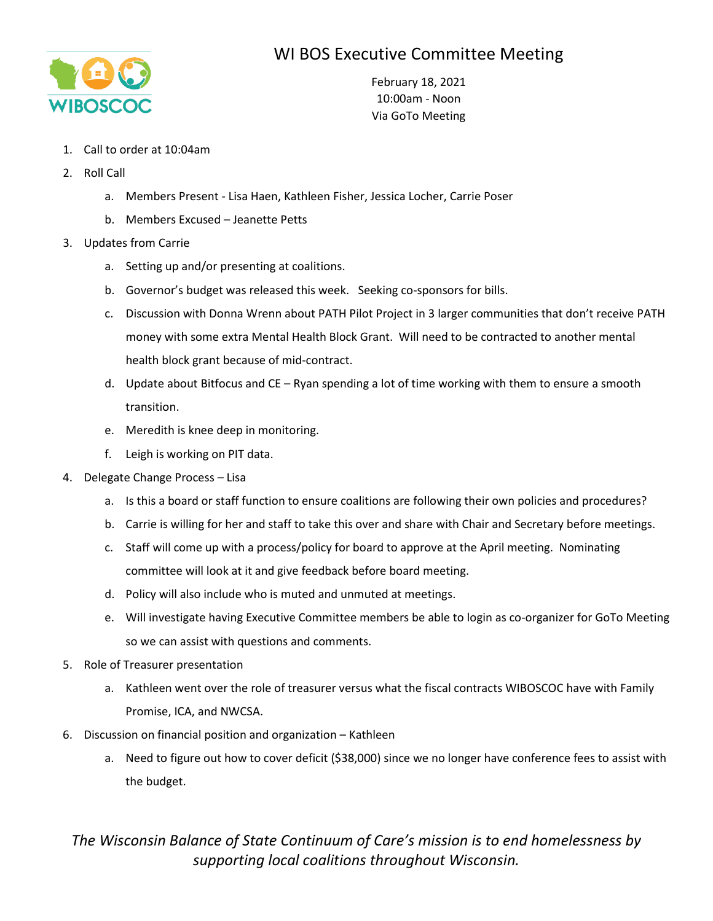## WI BOS Executive Committee Meeting



February 18, 2021 10:00am - Noon Via GoTo Meeting

- 1. Call to order at 10:04am
- 2. Roll Call
	- a. Members Present Lisa Haen, Kathleen Fisher, Jessica Locher, Carrie Poser
	- b. Members Excused Jeanette Petts
- 3. Updates from Carrie
	- a. Setting up and/or presenting at coalitions.
	- b. Governor's budget was released this week. Seeking co-sponsors for bills.
	- c. Discussion with Donna Wrenn about PATH Pilot Project in 3 larger communities that don't receive PATH money with some extra Mental Health Block Grant. Will need to be contracted to another mental health block grant because of mid-contract.
	- d. Update about Bitfocus and CE Ryan spending a lot of time working with them to ensure a smooth transition.
	- e. Meredith is knee deep in monitoring.
	- f. Leigh is working on PIT data.
- 4. Delegate Change Process Lisa
	- a. Is this a board or staff function to ensure coalitions are following their own policies and procedures?
	- b. Carrie is willing for her and staff to take this over and share with Chair and Secretary before meetings.
	- c. Staff will come up with a process/policy for board to approve at the April meeting. Nominating committee will look at it and give feedback before board meeting.
	- d. Policy will also include who is muted and unmuted at meetings.
	- e. Will investigate having Executive Committee members be able to login as co-organizer for GoTo Meeting so we can assist with questions and comments.
- 5. Role of Treasurer presentation
	- a. Kathleen went over the role of treasurer versus what the fiscal contracts WIBOSCOC have with Family Promise, ICA, and NWCSA.
- 6. Discussion on financial position and organization Kathleen
	- a. Need to figure out how to cover deficit (\$38,000) since we no longer have conference fees to assist with the budget.

## *The Wisconsin Balance of State Continuum of Care's mission is to end homelessness by supporting local coalitions throughout Wisconsin.*